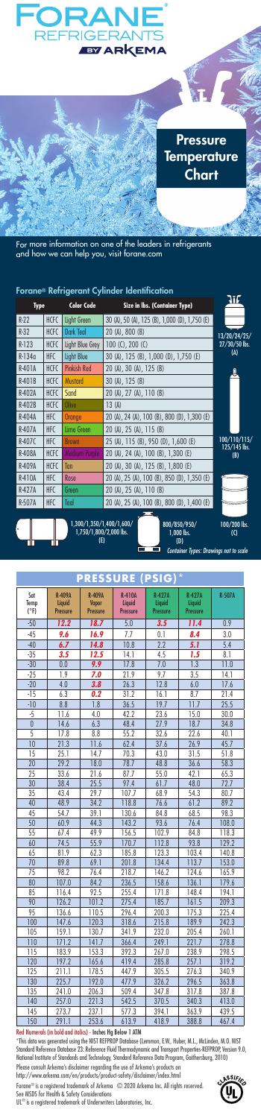

| <b>Type</b> |             | <b>Color Code</b>    | Size in Ibs. (Container Type)                 | 316                 |
|-------------|-------------|----------------------|-----------------------------------------------|---------------------|
| $R-22$      | <b>HCFC</b> | Light Green          | 30 (A), 50 (A), 125 (B), 1,000 (D), 1,750 (E) |                     |
| $R-32$      | <b>HCFC</b> | <b>Dark Teal</b>     | $20(A)$ , $800(B)$                            | 13/20/24/25/        |
| $R-123$     | <b>HCFC</b> | Light Blue Grey      | $100 (C)$ , $200 (C)$                         | $27/30/50$ lbs.     |
| $R-1340$    | <b>HFC</b>  | Light Blue           | 30 (A), 125 (B), 1,000 (D), 1,750 (E)         | (A)                 |
| R-401A      | <b>HCFC</b> | <b>Pinkish Red</b>   | 20 (A), 30 (A), 125 (B)                       |                     |
| $R-401B$    | <b>HCFC</b> | <b>Mustard</b>       | 30 (A), 125 (B)                               |                     |
| R-402A      | <b>HCFC</b> | Sand                 | 20 (A), 27 (A), 110 (B)                       |                     |
| R-402B      | <b>HCFC</b> | Olive                | 13(A)                                         |                     |
| R-404A      | <b>HFC</b>  | Orange               | 20 (A), 24 (A), 100 (B), 800 (D), 1,300 (E)   |                     |
| R-407A      | <b>HFC</b>  | Lime Green           | 20 (A), 25 (A), 115 (B)                       |                     |
| R-407C      | <b>HFC</b>  | <b>Brown</b>         | 25 (A), 115 (B), 950 (D), 1,600 (E)           | 100/110/115/        |
| R-408A      | <b>HCFC</b> | <b>Medium Purple</b> | 20 (A), 24 (A), 100 (B), 1,300 (E)            | 125/145 lbs.<br>(B) |
| R-409A      | <b>HCFC</b> | Tan                  | 20 (A), 30 (A), 125 (B), 1,800 (E)            |                     |
| R-410A      | <b>HFC</b>  | Rose                 | 20 (A), 25 (A), 100 (B), 850 (D), 1,350 (E)   |                     |
| R-427A      | <b>HFC</b>  | Green                | 20 (A), 25 (A), 110 (B)                       |                     |
| R-507A      | <b>HFC</b>  | Teal                 | 20 (A), 25 (A), 100 (B), 800 (D), 1,400 (E)   |                     |
|             |             |                      | --                                            |                     |





800/850/950/ 1,000 lbs. (D)

100/200 lbs. (C) *Container Types: Drawings not to scale*

| $\ast$<br><b>PRESSURE</b><br><b>PSIG)</b> |                         |                        |                         |                         |                         |               |  |  |  |
|-------------------------------------------|-------------------------|------------------------|-------------------------|-------------------------|-------------------------|---------------|--|--|--|
| Sat<br>Temp<br>$(^{\circ}F)$              | <b>R-409A</b><br>Liquid | <b>R-409A</b><br>Vapor | <b>R-410A</b><br>Liquid | <b>R-427A</b><br>Liquid | <b>R-427A</b><br>Liquid | <b>R-507A</b> |  |  |  |
|                                           | <b>Pressure</b>         | Pressure               | <b>Pressure</b>         | <b>Pressure</b>         | Pressure                |               |  |  |  |
| $-50$                                     | 12.2                    | 18.7                   | 5.0                     | 3.5                     | 11.4                    | 0.9           |  |  |  |
| $-45$                                     | 9.6                     | 16.9                   | 7.7                     | 0.1                     | 8.4                     | 3.0           |  |  |  |
| $-40$                                     | 6.7                     | 14.8                   | 10.8                    | $\overline{2.2}$        | 5.1                     | 5.4           |  |  |  |
| $-35$                                     | 3.5                     | 12.5                   | 14.1                    | 4.5                     | 1.5                     | 8.1           |  |  |  |
| $-30$                                     | 0.0                     | 9.9                    | 17.8                    | 7.0                     | $\overline{1.3}$        | 11.0          |  |  |  |
| $-25$                                     | 1.9                     | 7.0                    | 21.9                    | 9.7                     | 3.5                     | 14.1          |  |  |  |
| $-20$                                     | 4.0                     | 3.8                    | 26.3                    | 12.8                    | 6.0                     | 17.6          |  |  |  |
| $-15$                                     | 6.3                     | 0.2                    | 31.2                    | 16.1                    | 8.7                     | 21.4          |  |  |  |
| $-10$                                     | 8.8                     | 1.8                    | 36.5                    | 19.7                    | 11.7                    | 25.5          |  |  |  |
| $-5$                                      | 11.6                    | 4.0                    | 42.2                    | 23.6                    | 15.0                    | 30.0          |  |  |  |
| $\overline{0}$                            | 14.6                    | 6.3                    | 48.4                    | 27.9                    | 18.7                    | 34.8          |  |  |  |
| 5                                         | 17.8                    | 8.8                    | 55.2                    | 32.6                    | 22.6                    | 40.1          |  |  |  |
| 10                                        | 21.3                    | 11.6                   | 62.4                    | 37.6                    | 26.9                    | 45.7          |  |  |  |
| 15                                        | 25.1                    | 14.7                   | 70.3                    | 43.0                    | 31.5                    | 51.8          |  |  |  |
| 20                                        | 29.2                    | 18.0                   | 78.7                    | 48.8                    | 36.6                    | 58.3          |  |  |  |
| 25                                        | 33.6                    | 21.6                   | 87.7                    | 55.0                    | 42.1                    | 65.3          |  |  |  |
| 30                                        | 38.4                    | 25.5                   | 97.4                    | 61.7                    | 48.0                    | 72.7          |  |  |  |
| 35                                        | 43.4                    | 29.7                   | 107.7                   | 68.9                    | 54.3                    | 80.7          |  |  |  |
| 40                                        | 48.9                    | 34.2                   | 118.8                   | 76.6                    | 61.2                    | 89.2          |  |  |  |
| 45                                        | 54.7                    | 39.1                   | 130.6                   | 84.8                    | 68.5                    | 98.3          |  |  |  |
| 50                                        | 60.9                    | 44.3                   | 143.2                   | 93.6                    | 76.4                    | 108.0         |  |  |  |
| 55                                        | 67.4                    | 49.9                   | 156.5                   | 102.9                   | 84.8                    | 118.3         |  |  |  |
| 60                                        | 74.5                    | 55.9                   | 170.7                   | 112.8                   | 93.8                    | 129.2         |  |  |  |
| 65                                        | 81.9                    | 62.3                   | 185.8                   | 123.3                   | 103.4                   | 140.8         |  |  |  |
| $\overline{70}$                           | 89.8                    | 69.1                   | 201.8                   | 134.4                   | 113.7                   | 153.0         |  |  |  |
| 75                                        | 98.2                    | 76.4                   | 218.7                   | 146.2                   | 124.6                   | 165.9         |  |  |  |
| 80                                        | 107.0                   | 84.2                   | 236.5                   | 158.6                   | 136.1                   | 179.6         |  |  |  |
| 85                                        | 116.4                   | 92.5                   | 255.4                   | 171.8                   | 148.4                   | 194.1         |  |  |  |
| 90                                        | 126.2                   | 101.2                  | 275.4                   | 185.7                   | 161.5                   | 209.3         |  |  |  |
| 95                                        | 136.6                   | 110.5                  | 296.4                   | 200.3                   | 175.3                   | 225.4         |  |  |  |
| 100                                       | 147.6                   | 120.3                  | 318.6                   | 215.8                   | 189.9                   | 242.3         |  |  |  |
| 105                                       | 159.1                   | 130.7                  | 341.9                   | 232.0                   | 205.4                   | 260.1         |  |  |  |
| 110                                       | 171.2                   | 141.7                  | 366.4                   | 249.1                   | 221.7                   | 278.8         |  |  |  |
| 115                                       | 183.9                   | 153.3                  | 392.3                   | 267.0                   | 238.9                   | 298.5         |  |  |  |
| 120                                       | 197.2                   | 165.6                  | 419.4                   | 285.8                   | 257.1                   | 319.2         |  |  |  |
| 125                                       | 211.1                   | 178.5                  | 447.9                   | 305.5                   | 276.3                   | 340.9         |  |  |  |
| 130                                       | 225.7                   | 192.0                  | 477.9                   | 326.2                   | 296.5                   | 363.8         |  |  |  |
| 135                                       | 241.0                   | 206.3                  | 509.4                   | 347.8                   | 317.8                   | 387.8         |  |  |  |
| 140                                       | 257.0                   | 221.3                  | 542.5                   | 370.5                   | 340.3                   | 413.0         |  |  |  |
| 145                                       | 273.7                   | 237.1                  | 577.3                   | 394.1                   | 363.9                   | 439.5         |  |  |  |
| 150                                       | 291.1                   | 253.6                  | 613.9                   | 418.9                   | 388.8                   | 467.4         |  |  |  |

Red Numerals (in bold and italics) - Inches Hg Below 1 ATM

"This data was generated using the NIST REFPROP Database (Lemmon, E.W., Huber, M.L., McLinden, M.O. NIST<br>Standard Reference Database 23: Reference Fluid Thermodymamic and Transport Properties-REFPROP, Version 9.0,<br>National

Please consult Arkema's disclaimer regarding the use of Arkema's products on http://www.arkema.com/en/products/product-safety/disclaimer/index.html

Forane® is a registered trademark of Arkema © 2020 Arkema Inc. All rights reserved.<br>See MSDS for Health & Safety Considerations<br>UL® is a registered trademark of Underwriters Laboratories, Inc.